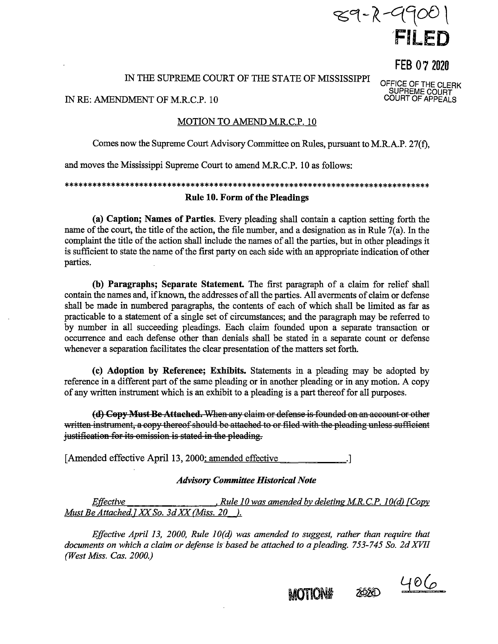

FEB 07 2020

OFFICE OF THE CLERK SUPREME COURT COURT OF APPEALS

## IN THE SUPREME COURT OF THE STATE OF MISSISSIPPI

IN RE: AMENDMENT OF M.R.C.P. 10

### MOTION TO AMEND M.R.C.P. 10

Comes now the Supreme Court Advisory Committee on Rules, pursuant to M.R.A.P. 27(f),

and moves the Mississippi Supreme Court to amend M.R.C.P. 10 as follows:

# \*\*\*\*\*\*\*\*\*\*\*\*\*\*\*\*\*\*\*\*\*\*\*\*\*\*\*\*\*\*\*\*\*\*\*\*\*\*\*\*\*\*\*\*\*\*\*\*\*\*\*\*\*\*\*\*\*\*\*\*\*\*\*\*\*\*\*\*\*\*\*\*\*\*\*\*\*\* **Rule 10. Form of the Pleadings**

**(a) Caption; Names of Parties.** Every pleading shall contain a caption setting forth the name of the court, the title of the action, the file number, and a designation as in Rule 7(a). In the complaint the title of the action shall include the names of all the parties, but in other pleadings it is sufficient to state the name of the first party on each side with an appropriate indication of other parties,

**(b) Paragraphs; Separate Statement** The first paragraph of a claim for relief shall contain the names and, if known, the addresses of all the parties. All averments of claim or defense shall be made in numbered paragraphs, the contents of each of which shall be limited as far as practicable to a statement of a single set of circumstances; and the paragraph may be referred to by number in all succeeding pleadings. Each claim founded upon a separate transaction or occurrence and each defense other than denials shall be stated in a separate count or defense whenever a separation facilitates the clear presentation of the matters set forth.

( **c) Adoption by Reference; Exhibits.** Statements in a pleading may be adopted by reference in a different part of the same pleading or in another pleading or in any motion. A copy of any written instrument which is an exhibit to a pleading is a part thereof for all purposes.

(d) Copy Must Be Attached. When any claim or defense is founded on an account or other written instrument, a copy thereof should be attached to or filed with the pleading unless sufficient justification for its omission is stated in the pleading.

[Amended effective April 13, 2000: amended effective .]

## *Advisory Committee Historical Note*

*Effective* • *Rule 10 was amended by deleting MR. C.P. 1 O(d) {Copy Must Be Attached.] XX So. 3d XX (Miss. 20 ).* 

*Effective April 13, 2000, Rule 10(d) was amended to suggest, rather than require that documents on which a claim or defense is based be attached to a pleading.* 753-745 So. 2d XVII *(West Miss. Cas. 2000.)* 

2020 MOTION#

 $406$